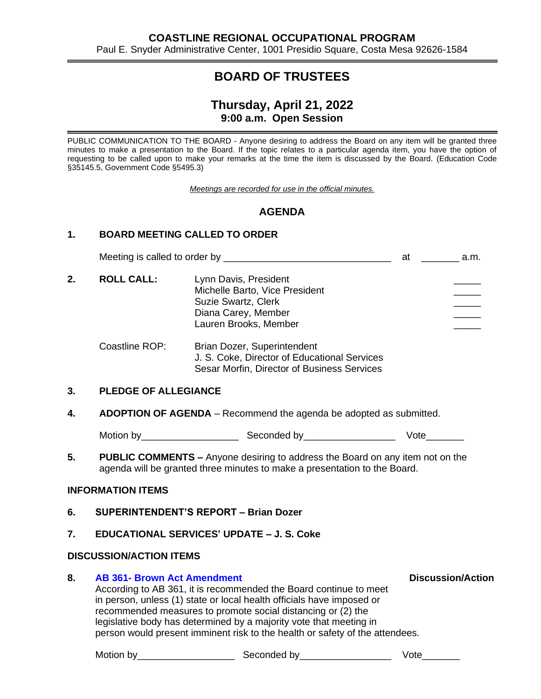# **BOARD OF TRUSTEES**

## **Thursday, April 21, 2022 9:00 a.m. Open Session**

PUBLIC COMMUNICATION TO THE BOARD - Anyone desiring to address the Board on any item will be granted three minutes to make a presentation to the Board. If the topic relates to a particular agenda item, you have the option of requesting to be called upon to make your remarks at the time the item is discussed by the Board. (Education Code §35145.5, Government Code §5495.3)

*Meetings are recorded for use in the official minutes.*

## **AGENDA**

### **1. BOARD MEETING CALLED TO ORDER**

|    |                                                                                                                                                            |                                                                                                                                                                                                                                                                                  | at ____________ a.m.     |  |  |  |
|----|------------------------------------------------------------------------------------------------------------------------------------------------------------|----------------------------------------------------------------------------------------------------------------------------------------------------------------------------------------------------------------------------------------------------------------------------------|--------------------------|--|--|--|
| 2. | <b>ROLL CALL:</b>                                                                                                                                          | Lynn Davis, President<br>Michelle Barto, Vice President<br><b>Suzie Swartz, Clerk</b><br>Diana Carey, Member<br>Lauren Brooks, Member                                                                                                                                            |                          |  |  |  |
|    | Coastline ROP:                                                                                                                                             | Brian Dozer, Superintendent<br>J. S. Coke, Director of Educational Services<br>Sesar Morfin, Director of Business Services                                                                                                                                                       |                          |  |  |  |
| 3. | <b>PLEDGE OF ALLEGIANCE</b>                                                                                                                                |                                                                                                                                                                                                                                                                                  |                          |  |  |  |
| 4. |                                                                                                                                                            | ADOPTION OF AGENDA - Recommend the agenda be adopted as submitted.                                                                                                                                                                                                               |                          |  |  |  |
|    |                                                                                                                                                            |                                                                                                                                                                                                                                                                                  | Vote                     |  |  |  |
| 5. | PUBLIC COMMENTS - Anyone desiring to address the Board on any item not on the<br>agenda will be granted three minutes to make a presentation to the Board. |                                                                                                                                                                                                                                                                                  |                          |  |  |  |
|    | <b>INFORMATION ITEMS</b>                                                                                                                                   |                                                                                                                                                                                                                                                                                  |                          |  |  |  |
| 6. | <b>SUPERINTENDENT'S REPORT - Brian Dozer</b>                                                                                                               |                                                                                                                                                                                                                                                                                  |                          |  |  |  |
| 7. | <b>EDUCATIONAL SERVICES' UPDATE - J. S. Coke</b>                                                                                                           |                                                                                                                                                                                                                                                                                  |                          |  |  |  |
|    | <b>DISCUSSION/ACTION ITEMS</b>                                                                                                                             |                                                                                                                                                                                                                                                                                  |                          |  |  |  |
| 8. | <b>AB 361- Brown Act Amendment</b>                                                                                                                         | According to AB 361, it is recommended the Board continue to meet<br>in person, unless (1) state or local health officials have imposed or<br>recommended measures to promote social distancing or (2) the<br>legislative body has determined by a majority vote that meeting in | <b>Discussion/Action</b> |  |  |  |

person would present imminent risk to the health or safety of the attendees.

Motion by\_\_\_\_\_\_\_\_\_\_\_\_\_\_\_\_\_\_ Seconded by\_\_\_\_\_\_\_\_\_\_\_\_\_\_\_\_\_ Vote\_\_\_\_\_\_\_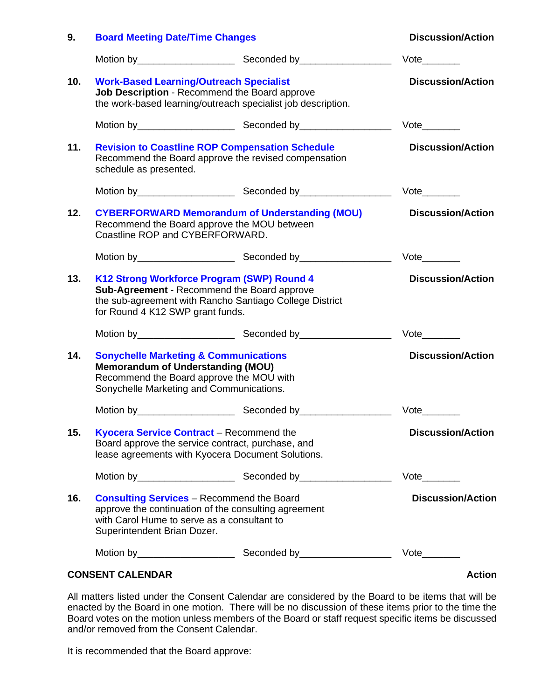| 9.  | <b>Board Meeting Date/Time Changes</b>                                                                                                                                                   |                          | <b>Discussion/Action</b>     |
|-----|------------------------------------------------------------------------------------------------------------------------------------------------------------------------------------------|--------------------------|------------------------------|
|     |                                                                                                                                                                                          |                          | Vote                         |
| 10. | <b>Work-Based Learning/Outreach Specialist</b><br>Job Description - Recommend the Board approve<br>the work-based learning/outreach specialist job description.                          |                          | <b>Discussion/Action</b>     |
|     |                                                                                                                                                                                          |                          | $Vote$ <sub>_________</sub>  |
| 11. | <b>Revision to Coastline ROP Compensation Schedule</b><br>Recommend the Board approve the revised compensation<br>schedule as presented.                                                 | <b>Discussion/Action</b> |                              |
|     |                                                                                                                                                                                          |                          | $Vote$ <sub>_________</sub>  |
| 12. | <b>CYBERFORWARD Memorandum of Understanding (MOU)</b><br>Recommend the Board approve the MOU between<br>Coastline ROP and CYBERFORWARD.                                                  | <b>Discussion/Action</b> |                              |
|     |                                                                                                                                                                                          |                          | Vote                         |
| 13. | K12 Strong Workforce Program (SWP) Round 4<br>Sub-Agreement - Recommend the Board approve<br>the sub-agreement with Rancho Santiago College District<br>for Round 4 K12 SWP grant funds. | <b>Discussion/Action</b> |                              |
|     |                                                                                                                                                                                          |                          | $Vote$ <sub>____</sub>       |
| 14. | <b>Sonychelle Marketing &amp; Communications</b><br><b>Memorandum of Understanding (MOU)</b><br>Recommend the Board approve the MOU with<br>Sonychelle Marketing and Communications.     |                          | <b>Discussion/Action</b>     |
|     |                                                                                                                                                                                          |                          | Vote                         |
| 15. | Kyocera Service Contract - Recommend the<br>Board approve the service contract, purchase, and<br>lease agreements with Kyocera Document Solutions.                                       |                          | <b>Discussion/Action</b>     |
|     |                                                                                                                                                                                          |                          | $Vote$ <sub>__________</sub> |
| 16. | <b>Consulting Services</b> – Recommend the Board<br>approve the continuation of the consulting agreement<br>with Carol Hume to serve as a consultant to<br>Superintendent Brian Dozer.   |                          | <b>Discussion/Action</b>     |
|     |                                                                                                                                                                                          |                          |                              |
|     | <b>CONSENT CALENDAR</b>                                                                                                                                                                  |                          | <b>Action</b>                |

All matters listed under the Consent Calendar are considered by the Board to be items that will be enacted by the Board in one motion. There will be no discussion of these items prior to the time the Board votes on the motion unless members of the Board or staff request specific items be discussed and/or removed from the Consent Calendar.

It is recommended that the Board approve: